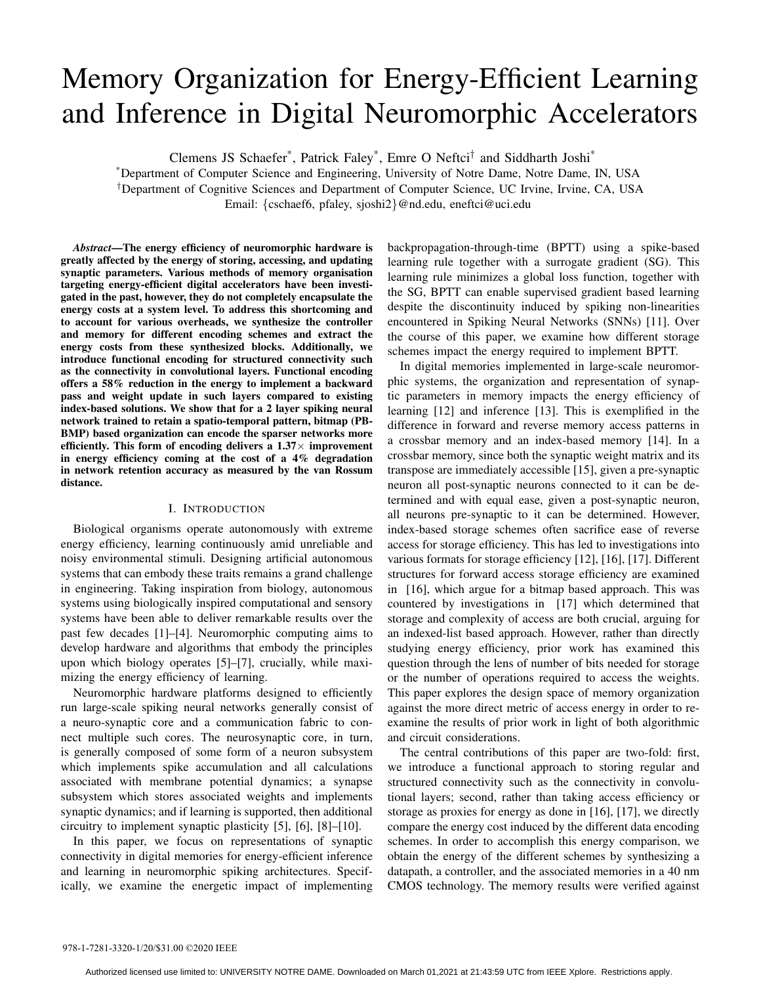# Memory Organization for Energy-Efficient Learning and Inference in Digital Neuromorphic Accelerators

Clemens JS Schaefer\*, Patrick Faley\*, Emre O Neftci<sup>†</sup> and Siddharth Joshi\*

\*Department of Computer Science and Engineering, University of Notre Dame, Notre Dame, IN, USA †Department of Cognitive Sciences and Department of Computer Science, UC Irvine, Irvine, CA, USA

Email: {cschaef6, pfaley, sjoshi2}@nd.edu, eneftci@uci.edu

*Abstract*—The energy efficiency of neuromorphic hardware is greatly affected by the energy of storing, accessing, and updating synaptic parameters. Various methods of memory organisation targeting energy-efficient digital accelerators have been investigated in the past, however, they do not completely encapsulate the energy costs at a system level. To address this shortcoming and to account for various overheads, we synthesize the controller and memory for different encoding schemes and extract the energy costs from these synthesized blocks. Additionally, we introduce functional encoding for structured connectivity such as the connectivity in convolutional layers. Functional encoding offers a 58% reduction in the energy to implement a backward pass and weight update in such layers compared to existing index-based solutions. We show that for a 2 layer spiking neural network trained to retain a spatio-temporal pattern, bitmap (PB-BMP) based organization can encode the sparser networks more efficiently. This form of encoding delivers a  $1.37\times$  improvement in energy efficiency coming at the cost of a 4% degradation in network retention accuracy as measured by the van Rossum distance.

### I. INTRODUCTION

Biological organisms operate autonomously with extreme energy efficiency, learning continuously amid unreliable and noisy environmental stimuli. Designing artificial autonomous systems that can embody these traits remains a grand challenge in engineering. Taking inspiration from biology, autonomous systems using biologically inspired computational and sensory systems have been able to deliver remarkable results over the past few decades [1]–[4]. Neuromorphic computing aims to develop hardware and algorithms that embody the principles upon which biology operates [5]–[7], crucially, while maximizing the energy efficiency of learning.

Neuromorphic hardware platforms designed to efficiently run large-scale spiking neural networks generally consist of a neuro-synaptic core and a communication fabric to connect multiple such cores. The neurosynaptic core, in turn, is generally composed of some form of a neuron subsystem which implements spike accumulation and all calculations associated with membrane potential dynamics; a synapse subsystem which stores associated weights and implements synaptic dynamics; and if learning is supported, then additional circuitry to implement synaptic plasticity [5], [6], [8]–[10].

In this paper, we focus on representations of synaptic connectivity in digital memories for energy-efficient inference and learning in neuromorphic spiking architectures. Specifically, we examine the energetic impact of implementing backpropagation-through-time (BPTT) using a spike-based learning rule together with a surrogate gradient (SG). This learning rule minimizes a global loss function, together with the SG, BPTT can enable supervised gradient based learning despite the discontinuity induced by spiking non-linearities encountered in Spiking Neural Networks (SNNs) [11]. Over the course of this paper, we examine how different storage schemes impact the energy required to implement BPTT.

In digital memories implemented in large-scale neuromorphic systems, the organization and representation of synaptic parameters in memory impacts the energy efficiency of learning [12] and inference [13]. This is exemplified in the difference in forward and reverse memory access patterns in a crossbar memory and an index-based memory [14]. In a crossbar memory, since both the synaptic weight matrix and its transpose are immediately accessible [15], given a pre-synaptic neuron all post-synaptic neurons connected to it can be determined and with equal ease, given a post-synaptic neuron, all neurons pre-synaptic to it can be determined. However, index-based storage schemes often sacrifice ease of reverse access for storage efficiency. This has led to investigations into various formats for storage efficiency [12], [16], [17]. Different structures for forward access storage efficiency are examined in [16], which argue for a bitmap based approach. This was countered by investigations in [17] which determined that storage and complexity of access are both crucial, arguing for an indexed-list based approach. However, rather than directly studying energy efficiency, prior work has examined this question through the lens of number of bits needed for storage or the number of operations required to access the weights. This paper explores the design space of memory organization against the more direct metric of access energy in order to reexamine the results of prior work in light of both algorithmic and circuit considerations.

The central contributions of this paper are two-fold: first, we introduce a functional approach to storing regular and structured connectivity such as the connectivity in convolutional layers; second, rather than taking access efficiency or storage as proxies for energy as done in [16], [17], we directly compare the energy cost induced by the different data encoding schemes. In order to accomplish this energy comparison, we obtain the energy of the different schemes by synthesizing a datapath, a controller, and the associated memories in a 40 nm CMOS technology. The memory results were verified against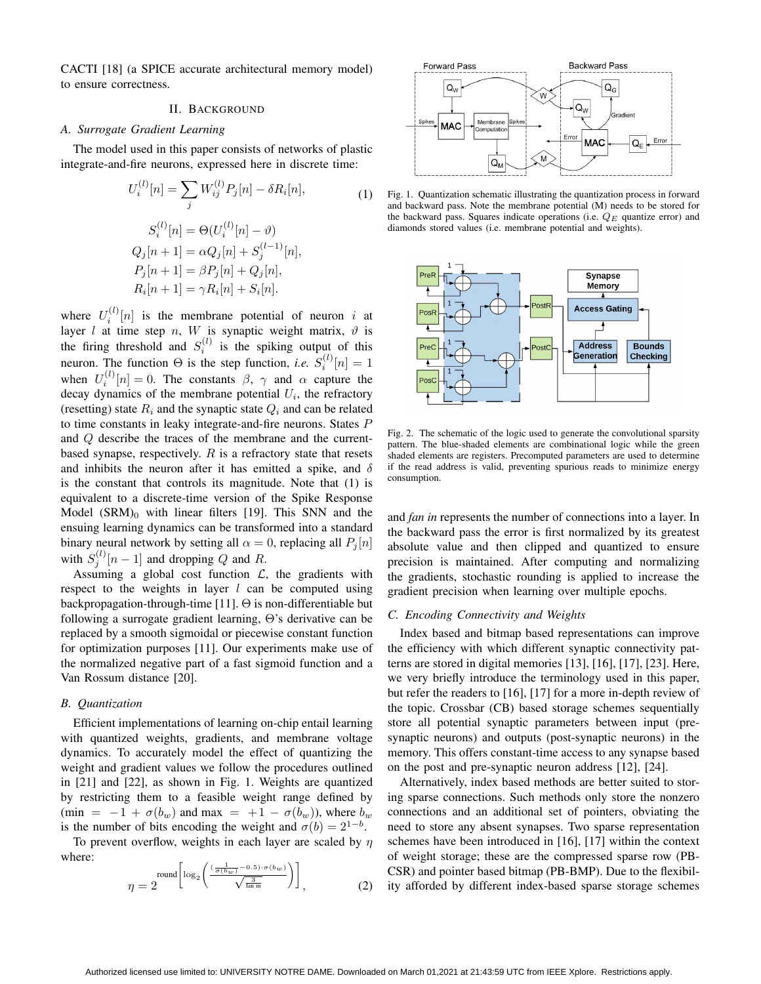CACTI [18] (a SPICE accurate architectural memory model) to ensure correctness.

# II. BACKGROUND

### *A. Surrogate Gradient Learning*

The model used in this paper consists of networks of plastic integrate-and-fire neurons, expressed here in discrete time:

$$
U_i^{(l)}[n] = \sum_j W_{ij}^{(l)} P_j[n] - \delta R_i[n],
$$
  
\n
$$
S_i^{(l)}[n] = \Theta(U_i^{(l)}[n] - \vartheta)
$$
  
\n
$$
Q_j[n+1] = \alpha Q_j[n] + S_j^{(l-1)}[n],
$$
  
\n
$$
P_j[n+1] = \beta P_j[n] + Q_j[n],
$$
  
\n
$$
R_i[n+1] = \gamma R_i[n] + S_i[n].
$$

where  $U_i^{(l)}[n]$  is the membrane potential of neuron i at layer l at time step n, W is synaptic weight matrix,  $\vartheta$  is the firing threshold and  $S_i^{(l)}$  is the spiking output of this neuron. The function  $\Theta$  is the step function, *i.e.*  $S_i^{(l)}[n] = 1$ when  $U_i^{(l)}[n] = 0$ . The constants  $\beta$ ,  $\gamma$  and  $\alpha$  capture the decay dynamics of the membrane potential  $U_i$ , the refractory (resetting) state  $R_i$  and the synaptic state  $Q_i$  and can be related to time constants in leaky integrate-and-fire neurons. States P and Q describe the traces of the membrane and the currentbased synapse, respectively.  $R$  is a refractory state that resets and inhibits the neuron after it has emitted a spike, and  $\delta$ is the constant that controls its magnitude. Note that (1) is equivalent to a discrete-time version of the Spike Response Model  $(SRM)$ <sup>0</sup> with linear filters [19]. This SNN and the ensuing learning dynamics can be transformed into a standard binary neural network by setting all  $\alpha = 0$ , replacing all  $P_i[n]$ with  $S_j^{(l)}[n-1]$  and dropping Q and R.

Assuming a global cost function  $\mathcal{L}$ , the gradients with respect to the weights in layer  $l$  can be computed using backpropagation-through-time [11]. Θ is non-differentiable but following a surrogate gradient learning, Θ's derivative can be replaced by a smooth sigmoidal or piecewise constant function for optimization purposes [11]. Our experiments make use of the normalized negative part of a fast sigmoid function and a Van Rossum distance [20].

# *B. Quantization*

Efficient implementations of learning on-chip entail learning with quantized weights, gradients, and membrane voltage dynamics. To accurately model the effect of quantizing the weight and gradient values we follow the procedures outlined in [21] and [22], as shown in Fig. 1. Weights are quantized by restricting them to a feasible weight range defined by (min =  $-1 + \sigma(b_w)$  and max =  $+1 - \sigma(b_w)$ ), where  $b_w$ is the number of bits encoding the weight and  $\sigma(b) = 2^{1-b}$ .

To prevent overflow, weights in each layer are scaled by  $\eta$ where:

$$
\eta = 2^{\text{round}\left[\log_2\left(\frac{(\frac{1}{\sigma(b_w)} - 0.5) \cdot \sigma(b_w)}{\sqrt{\frac{3}{\text{fan in}}}}\right)\right]},\tag{2}
$$



Fig. 1. Quantization schematic illustrating the quantization process in forward and backward pass. Note the membrane potential (M) needs to be stored for the backward pass. Squares indicate operations (i.e.  $Q_E$  quantize error) and diamonds stored values (i.e. membrane potential and weights).



Fig. 2. The schematic of the logic used to generate the convolutional sparsity pattern. The blue-shaded elements are combinational logic while the green shaded elements are registers. Precomputed parameters are used to determine if the read address is valid, preventing spurious reads to minimize energy consumption.

and *fan in* represents the number of connections into a layer. In the backward pass the error is first normalized by its greatest absolute value and then clipped and quantized to ensure precision is maintained. After computing and normalizing the gradients, stochastic rounding is applied to increase the gradient precision when learning over multiple epochs.

### *C. Encoding Connectivity and Weights*

Index based and bitmap based representations can improve the efficiency with which different synaptic connectivity patterns are stored in digital memories [13], [16], [17], [23]. Here, we very briefly introduce the terminology used in this paper, but refer the readers to [16], [17] for a more in-depth review of the topic. Crossbar (CB) based storage schemes sequentially store all potential synaptic parameters between input (presynaptic neurons) and outputs (post-synaptic neurons) in the memory. This offers constant-time access to any synapse based on the post and pre-synaptic neuron address [12], [24].

Alternatively, index based methods are better suited to storing sparse connections. Such methods only store the nonzero connections and an additional set of pointers, obviating the need to store any absent synapses. Two sparse representation schemes have been introduced in [16], [17] within the context of weight storage; these are the compressed sparse row (PB-CSR) and pointer based bitmap (PB-BMP). Due to the flexibility afforded by different index-based sparse storage schemes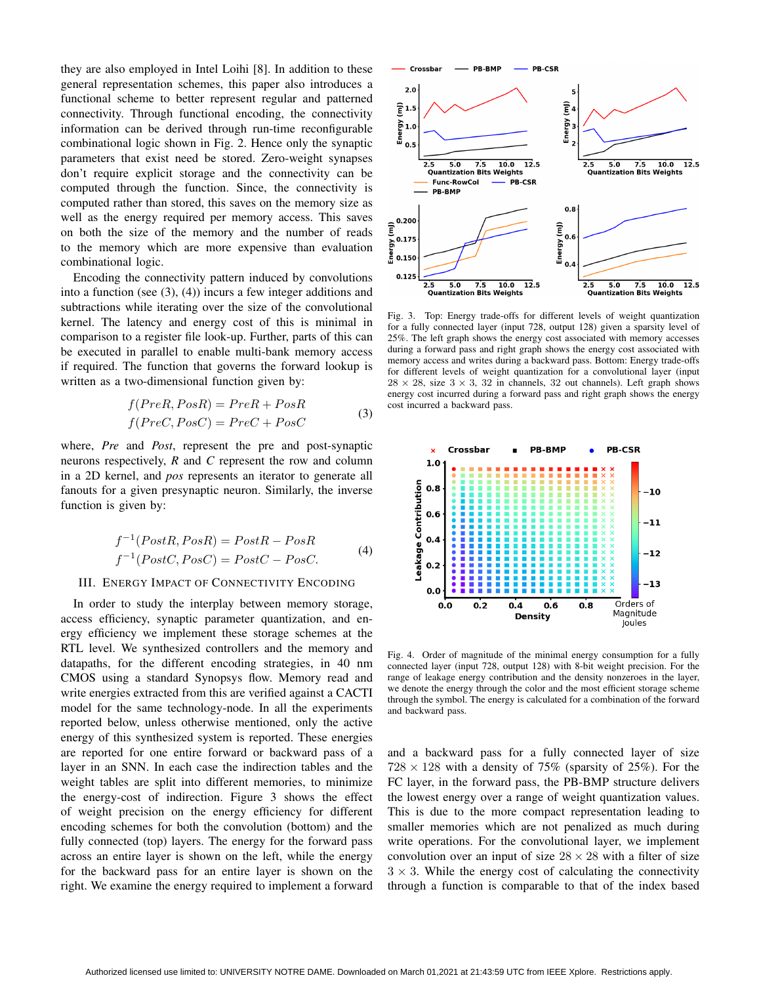they are also employed in Intel Loihi [8]. In addition to these general representation schemes, this paper also introduces a functional scheme to better represent regular and patterned connectivity. Through functional encoding, the connectivity information can be derived through run-time reconfigurable combinational logic shown in Fig. 2. Hence only the synaptic parameters that exist need be stored. Zero-weight synapses don't require explicit storage and the connectivity can be computed through the function. Since, the connectivity is computed rather than stored, this saves on the memory size as well as the energy required per memory access. This saves on both the size of the memory and the number of reads to the memory which are more expensive than evaluation combinational logic.

Encoding the connectivity pattern induced by convolutions into a function (see (3), (4)) incurs a few integer additions and subtractions while iterating over the size of the convolutional kernel. The latency and energy cost of this is minimal in comparison to a register file look-up. Further, parts of this can be executed in parallel to enable multi-bank memory access if required. The function that governs the forward lookup is written as a two-dimensional function given by:

$$
f(PreR, PosR) = PreR + PosR
$$

$$
f(PreC, PosC) = PreC + PosC
$$
 (3)

where, *Pre* and *Post*, represent the pre and post-synaptic neurons respectively, *R* and *C* represent the row and column in a 2D kernel, and *pos* represents an iterator to generate all fanouts for a given presynaptic neuron. Similarly, the inverse function is given by:

$$
f^{-1}(PostR, PosR) = PostR - PosR
$$
  

$$
f^{-1}(PostC, PosC) = PostC - PosC.
$$
 (4)

#### III. ENERGY IMPACT OF CONNECTIVITY ENCODING

In order to study the interplay between memory storage, access efficiency, synaptic parameter quantization, and energy efficiency we implement these storage schemes at the RTL level. We synthesized controllers and the memory and datapaths, for the different encoding strategies, in 40 nm CMOS using a standard Synopsys flow. Memory read and write energies extracted from this are verified against a CACTI model for the same technology-node. In all the experiments reported below, unless otherwise mentioned, only the active energy of this synthesized system is reported. These energies are reported for one entire forward or backward pass of a layer in an SNN. In each case the indirection tables and the weight tables are split into different memories, to minimize the energy-cost of indirection. Figure 3 shows the effect of weight precision on the energy efficiency for different encoding schemes for both the convolution (bottom) and the fully connected (top) layers. The energy for the forward pass across an entire layer is shown on the left, while the energy for the backward pass for an entire layer is shown on the right. We examine the energy required to implement a forward



Fig. 3. Top: Energy trade-offs for different levels of weight quantization for a fully connected layer (input 728, output 128) given a sparsity level of 25%. The left graph shows the energy cost associated with memory accesses during a forward pass and right graph shows the energy cost associated with memory access and writes during a backward pass. Bottom: Energy trade-offs for different levels of weight quantization for a convolutional layer (input  $28 \times 28$ , size  $3 \times 3$ ,  $32$  in channels,  $32$  out channels). Left graph shows energy cost incurred during a forward pass and right graph shows the energy cost incurred a backward pass.



Fig. 4. Order of magnitude of the minimal energy consumption for a fully connected layer (input 728, output 128) with 8-bit weight precision. For the range of leakage energy contribution and the density nonzeroes in the layer, we denote the energy through the color and the most efficient storage scheme through the symbol. The energy is calculated for a combination of the forward and backward pass.

and a backward pass for a fully connected layer of size  $728 \times 128$  with a density of 75% (sparsity of 25%). For the FC layer, in the forward pass, the PB-BMP structure delivers the lowest energy over a range of weight quantization values. This is due to the more compact representation leading to smaller memories which are not penalized as much during write operations. For the convolutional layer, we implement convolution over an input of size  $28 \times 28$  with a filter of size  $3 \times 3$ . While the energy cost of calculating the connectivity through a function is comparable to that of the index based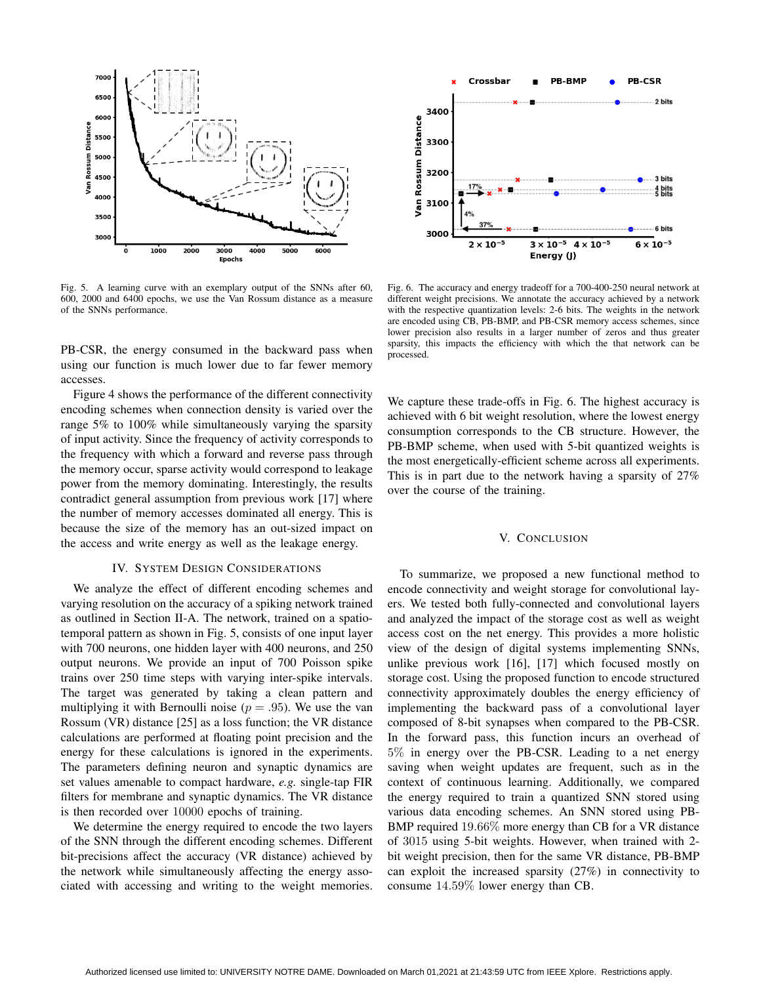

Fig. 5. A learning curve with an exemplary output of the SNNs after 60, 600, 2000 and 6400 epochs, we use the Van Rossum distance as a measure of the SNNs performance.

PB-CSR, the energy consumed in the backward pass when using our function is much lower due to far fewer memory accesses.

Figure 4 shows the performance of the different connectivity encoding schemes when connection density is varied over the range 5% to 100% while simultaneously varying the sparsity of input activity. Since the frequency of activity corresponds to the frequency with which a forward and reverse pass through the memory occur, sparse activity would correspond to leakage power from the memory dominating. Interestingly, the results contradict general assumption from previous work [17] where the number of memory accesses dominated all energy. This is because the size of the memory has an out-sized impact on the access and write energy as well as the leakage energy.

# IV. SYSTEM DESIGN CONSIDERATIONS

We analyze the effect of different encoding schemes and varying resolution on the accuracy of a spiking network trained as outlined in Section II-A. The network, trained on a spatiotemporal pattern as shown in Fig. 5, consists of one input layer with 700 neurons, one hidden layer with 400 neurons, and 250 output neurons. We provide an input of 700 Poisson spike trains over 250 time steps with varying inter-spike intervals. The target was generated by taking a clean pattern and multiplying it with Bernoulli noise ( $p = .95$ ). We use the van Rossum (VR) distance [25] as a loss function; the VR distance calculations are performed at floating point precision and the energy for these calculations is ignored in the experiments. The parameters defining neuron and synaptic dynamics are set values amenable to compact hardware, *e.g.* single-tap FIR filters for membrane and synaptic dynamics. The VR distance is then recorded over 10000 epochs of training.

We determine the energy required to encode the two layers of the SNN through the different encoding schemes. Different bit-precisions affect the accuracy (VR distance) achieved by the network while simultaneously affecting the energy associated with accessing and writing to the weight memories.



Fig. 6. The accuracy and energy tradeoff for a 700-400-250 neural network at different weight precisions. We annotate the accuracy achieved by a network with the respective quantization levels: 2-6 bits. The weights in the network are encoded using CB, PB-BMP, and PB-CSR memory access schemes, since lower precision also results in a larger number of zeros and thus greater sparsity, this impacts the efficiency with which the that network can be processed.

We capture these trade-offs in Fig. 6. The highest accuracy is achieved with 6 bit weight resolution, where the lowest energy consumption corresponds to the CB structure. However, the PB-BMP scheme, when used with 5-bit quantized weights is the most energetically-efficient scheme across all experiments. This is in part due to the network having a sparsity of 27% over the course of the training.

### V. CONCLUSION

To summarize, we proposed a new functional method to encode connectivity and weight storage for convolutional layers. We tested both fully-connected and convolutional layers and analyzed the impact of the storage cost as well as weight access cost on the net energy. This provides a more holistic view of the design of digital systems implementing SNNs, unlike previous work [16], [17] which focused mostly on storage cost. Using the proposed function to encode structured connectivity approximately doubles the energy efficiency of implementing the backward pass of a convolutional layer composed of 8-bit synapses when compared to the PB-CSR. In the forward pass, this function incurs an overhead of 5% in energy over the PB-CSR. Leading to a net energy saving when weight updates are frequent, such as in the context of continuous learning. Additionally, we compared the energy required to train a quantized SNN stored using various data encoding schemes. An SNN stored using PB-BMP required 19.66% more energy than CB for a VR distance of 3015 using 5-bit weights. However, when trained with 2 bit weight precision, then for the same VR distance, PB-BMP can exploit the increased sparsity (27%) in connectivity to consume 14.59% lower energy than CB.